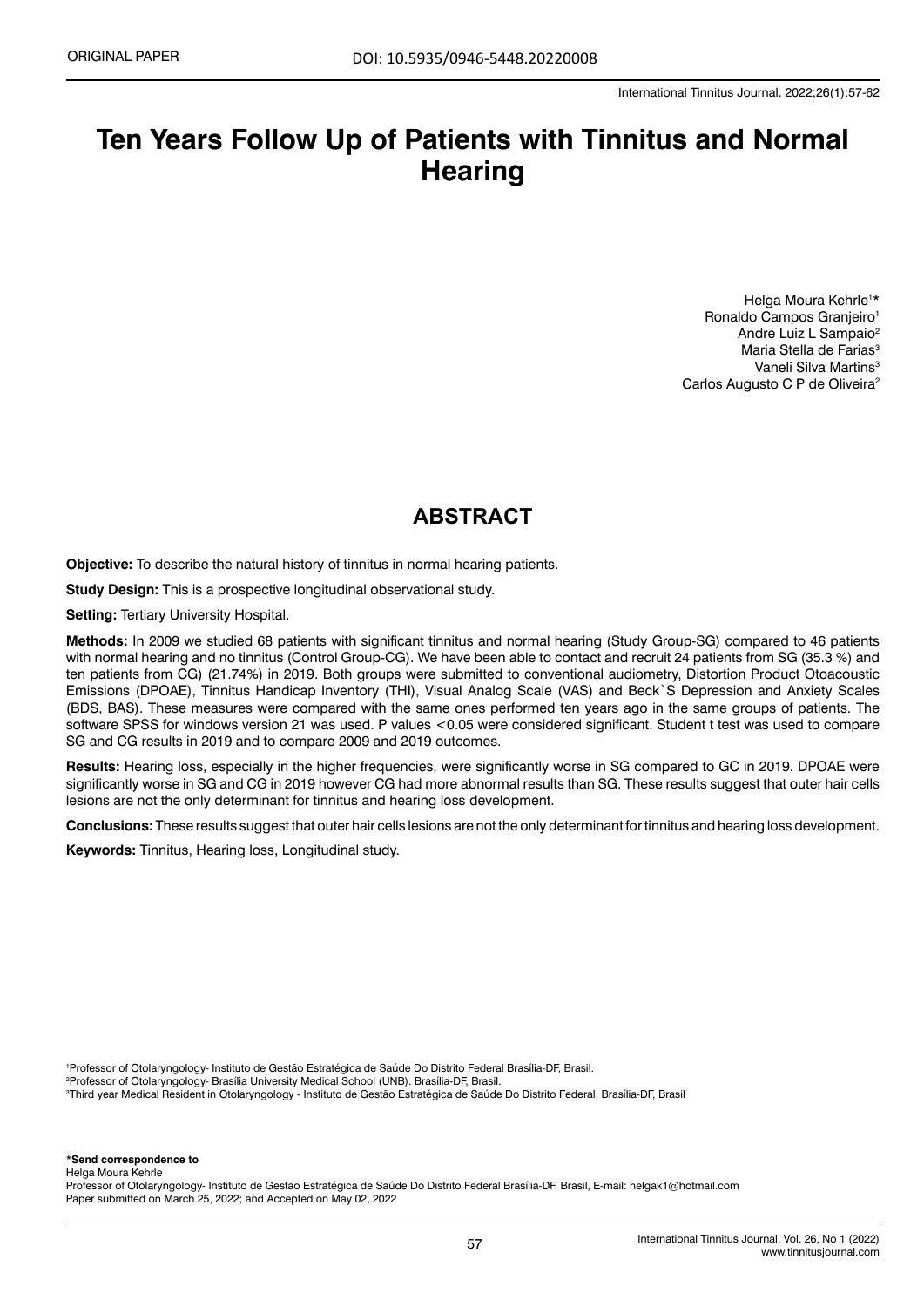# **Ten Years Follow Up of Patients with Tinnitus and Normal Hearing**

Helga Moura Kehrle<sup>1\*</sup> Ronaldo Campos Granieiro<sup>1</sup> Andre Luiz L Sampaio2 Maria Stella de Farias<sup>3</sup> Vaneli Silva Martins<sup>3</sup> Carlos Augusto C P de Oliveira<sup>2</sup>

## **ABSTRACT**

**Objective:** To describe the natural history of tinnitus in normal hearing patients.

**Study Design:** This is a prospective longitudinal observational study.

**Setting:** Tertiary University Hospital.

**Methods:** In 2009 we studied 68 patients with significant tinnitus and normal hearing (Study Group-SG) compared to 46 patients with normal hearing and no tinnitus (Control Group-CG). We have been able to contact and recruit 24 patients from SG (35.3 %) and ten patients from CG) (21.74%) in 2019. Both groups were submitted to conventional audiometry, Distortion Product Otoacoustic Emissions (DPOAE), Tinnitus Handicap Inventory (THI), Visual Analog Scale (VAS) and Beck`S Depression and Anxiety Scales (BDS, BAS). These measures were compared with the same ones performed ten years ago in the same groups of patients. The software SPSS for windows version 21 was used. P values <0.05 were considered significant. Student t test was used to compare SG and CG results in 2019 and to compare 2009 and 2019 outcomes.

**Results:** Hearing loss, especially in the higher frequencies, were significantly worse in SG compared to GC in 2019. DPOAE were significantly worse in SG and CG in 2019 however CG had more abnormal results than SG. These results suggest that outer hair cells lesions are not the only determinant for tinnitus and hearing loss development.

**Conclusions:** These results suggest that outer hair cells lesions are not the only determinant for tinnitus and hearing loss development.

**Keywords:** Tinnitus, Hearing loss, Longitudinal study.

1 Professor of Otolaryngology- Instituto de Gestão Estratégica de Saúde Do Distrito Federal Brasília-DF, Brasil.

2 Professor of Otolaryngology- Brasília University Medical School (UNB). Brasília-DF, Brasil.

3 Third year Medical Resident in Otolaryngology - Instituto de Gestão Estratégica de Saúde Do Distrito Federal, Brasília-DF, Brasil

\***Send correspondence to**

Helga Moura Kehrle

Professor of Otolaryngology- Instituto de Gestão Estratégica de Saúde Do Distrito Federal Brasília-DF, Brasil, E-mail: [helgak1@hotmail.com](mailto:helgak1@hotmail.com) Paper submitted on March 25, 2022; and Accepted on May 02, 2022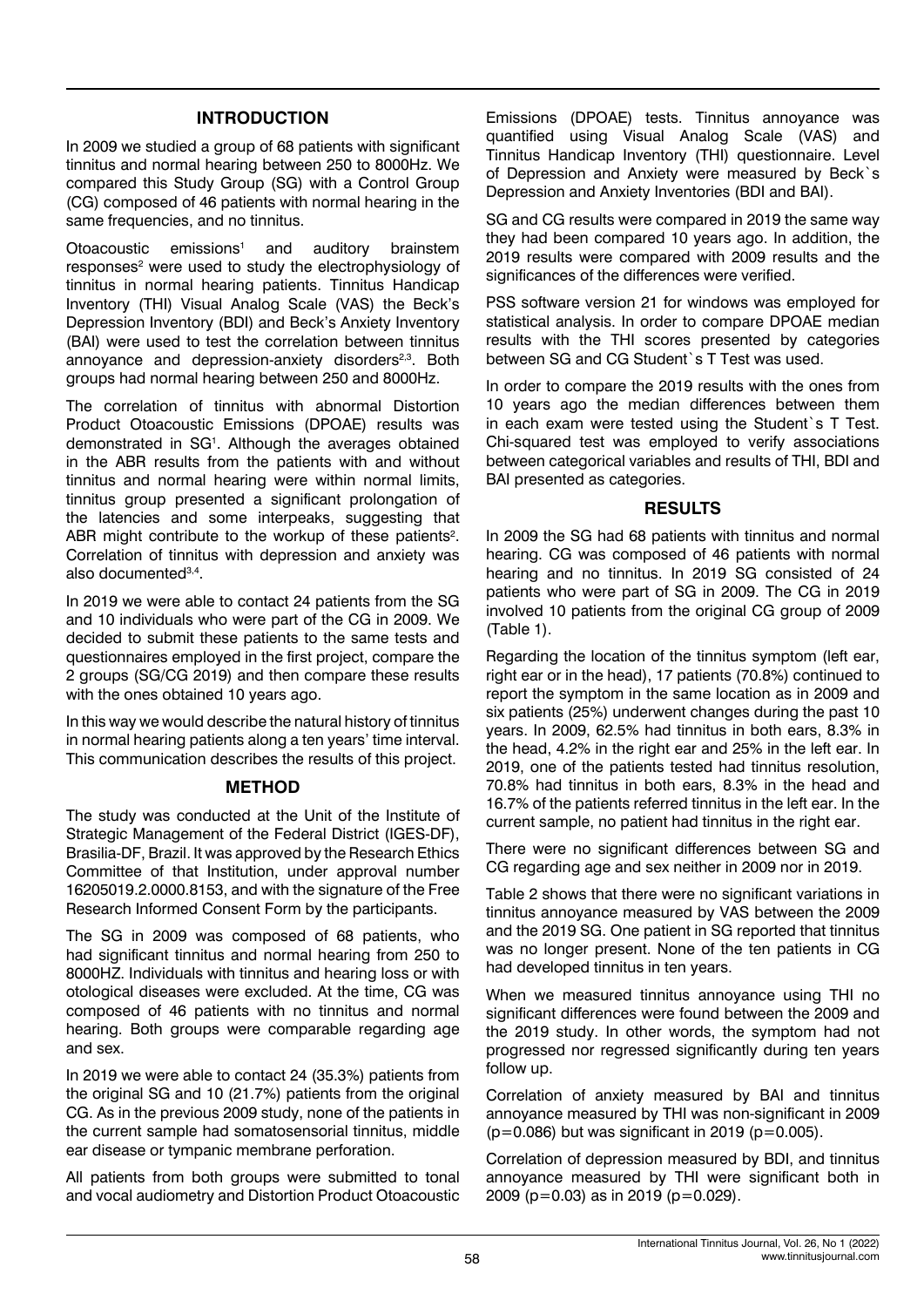#### **INTRODUCTION**

In 2009 we studied a group of 68 patients with significant tinnitus and normal hearing between 250 to 8000Hz. We compared this Study Group (SG) with a Control Group (CG) composed of 46 patients with normal hearing in the same frequencies, and no tinnitus.

Otoacoustic emissions<sup>1</sup> and auditory brainstem responses<sup>2</sup> were used to study the electrophysiology of tinnitus in normal hearing patients. Tinnitus Handicap Inventory (THI) Visual Analog Scale (VAS) the Beck's Depression Inventory (BDI) and Beck's Anxiety Inventory (BAI) were used to test the correlation between tinnitus annoyance and depression-anxiety disorders<sup>2,3</sup>. Both groups had normal hearing between 250 and 8000Hz.

The correlation of tinnitus with abnormal Distortion Product Otoacoustic Emissions (DPOAE) results was demonstrated in SG1 . Although the averages obtained in the ABR results from the patients with and without tinnitus and normal hearing were within normal limits, tinnitus group presented a significant prolongation of the latencies and some interpeaks, suggesting that ABR might contribute to the workup of these patients<sup>2</sup>. Correlation of tinnitus with depression and anxiety was also documented<sup>3,4</sup>.

In 2019 we were able to contact 24 patients from the SG and 10 individuals who were part of the CG in 2009. We decided to submit these patients to the same tests and questionnaires employed in the first project, compare the 2 groups (SG/CG 2019) and then compare these results with the ones obtained 10 years ago.

In this way we would describe the natural history of tinnitus in normal hearing patients along a ten years' time interval. This communication describes the results of this project.

#### **METHOD**

The study was conducted at the Unit of the Institute of Strategic Management of the Federal District (IGES-DF), Brasilia-DF, Brazil. It was approved by the Research Ethics Committee of that Institution, under approval number 16205019.2.0000.8153, and with the signature of the Free Research Informed Consent Form by the participants.

The SG in 2009 was composed of 68 patients, who had significant tinnitus and normal hearing from 250 to 8000HZ. Individuals with tinnitus and hearing loss or with otological diseases were excluded. At the time, CG was composed of 46 patients with no tinnitus and normal hearing. Both groups were comparable regarding age and sex.

In 2019 we were able to contact 24 (35.3%) patients from the original SG and 10 (21.7%) patients from the original CG. As in the previous 2009 study, none of the patients in the current sample had somatosensorial tinnitus, middle ear disease or tympanic membrane perforation.

All patients from both groups were submitted to tonal and vocal audiometry and Distortion Product Otoacoustic

Emissions (DPOAE) tests. Tinnitus annoyance was quantified using Visual Analog Scale (VAS) and Tinnitus Handicap Inventory (THI) questionnaire. Level of Depression and Anxiety were measured by Beck`s Depression and Anxiety Inventories (BDI and BAI).

SG and CG results were compared in 2019 the same way they had been compared 10 years ago. In addition, the 2019 results were compared with 2009 results and the significances of the differences were verified.

PSS software version 21 for windows was employed for statistical analysis. In order to compare DPOAE median results with the THI scores presented by categories between SG and CG Student`s T Test was used.

In order to compare the 2019 results with the ones from 10 years ago the median differences between them in each exam were tested using the Student`s T Test. Chi-squared test was employed to verify associations between categorical variables and results of THI, BDI and BAI presented as categories.

#### **RESULTS**

In 2009 the SG had 68 patients with tinnitus and normal hearing. CG was composed of 46 patients with normal hearing and no tinnitus. In 2019 SG consisted of 24 patients who were part of SG in 2009. The CG in 2019 involved 10 patients from the original CG group of 2009 (Table 1).

Regarding the location of the tinnitus symptom (left ear, right ear or in the head), 17 patients (70.8%) continued to report the symptom in the same location as in 2009 and six patients (25%) underwent changes during the past 10 years. In 2009, 62.5% had tinnitus in both ears, 8.3% in the head, 4.2% in the right ear and 25% in the left ear. In 2019, one of the patients tested had tinnitus resolution, 70.8% had tinnitus in both ears, 8.3% in the head and 16.7% of the patients referred tinnitus in the left ear. In the current sample, no patient had tinnitus in the right ear.

There were no significant differences between SG and CG regarding age and sex neither in 2009 nor in 2019.

Table 2 shows that there were no significant variations in tinnitus annoyance measured by VAS between the 2009 and the 2019 SG. One patient in SG reported that tinnitus was no longer present. None of the ten patients in CG had developed tinnitus in ten years.

When we measured tinnitus annoyance using THI no significant differences were found between the 2009 and the 2019 study. In other words, the symptom had not progressed nor regressed significantly during ten years follow up.

Correlation of anxiety measured by BAI and tinnitus annoyance measured by THI was non-significant in 2009  $(p=0.086)$  but was significant in 2019 ( $p=0.005$ ).

Correlation of depression measured by BDI, and tinnitus annoyance measured by THI were significant both in 2009 (p=0.03) as in 2019 (p=0.029).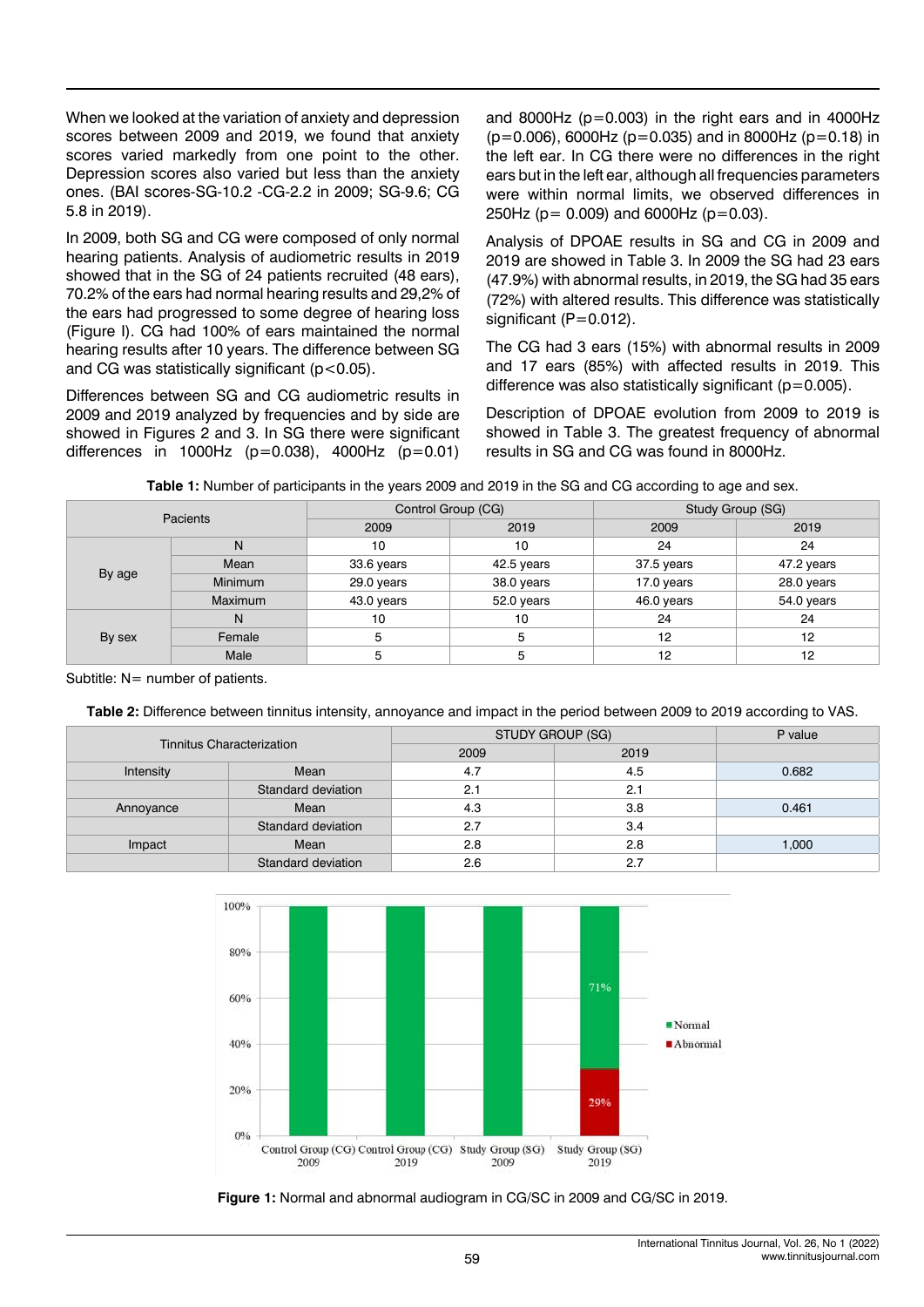When we looked at the variation of anxiety and depression scores between 2009 and 2019, we found that anxiety scores varied markedly from one point to the other. Depression scores also varied but less than the anxiety ones. (BAI scores-SG-10.2 -CG-2.2 in 2009; SG-9.6; CG 5.8 in 2019).

In 2009, both SG and CG were composed of only normal hearing patients. Analysis of audiometric results in 2019 showed that in the SG of 24 patients recruited (48 ears), 70.2% of the ears had normal hearing results and 29,2% of the ears had progressed to some degree of hearing loss (Figure I). CG had 100% of ears maintained the normal hearing results after 10 years. The difference between SG and CG was statistically significant  $(p<0.05)$ .

Differences between SG and CG audiometric results in 2009 and 2019 analyzed by frequencies and by side are showed in Figures 2 and 3. In SG there were significant differences in 1000Hz ( $p=0.038$ ), 4000Hz ( $p=0.01$ ) and 8000Hz ( $p=0.003$ ) in the right ears and in 4000Hz  $(p=0.006)$ , 6000Hz (p=0.035) and in 8000Hz (p=0.18) in the left ear. In CG there were no differences in the right ears but in the left ear, although all frequencies parameters were within normal limits, we observed differences in 250Hz ( $p = 0.009$ ) and 6000Hz ( $p=0.03$ ).

Analysis of DPOAE results in SG and CG in 2009 and 2019 are showed in Table 3. In 2009 the SG had 23 ears (47.9%) with abnormal results, in 2019, the SG had 35 ears (72%) with altered results. This difference was statistically significant (P=0.012).

The CG had 3 ears (15%) with abnormal results in 2009 and 17 ears (85%) with affected results in 2019. This difference was also statistically significant ( $p=0.005$ ).

Description of DPOAE evolution from 2009 to 2019 is showed in Table 3. The greatest frequency of abnormal results in SG and CG was found in 8000Hz.

|  |  |  |  |  |  | Table 1: Number of participants in the years 2009 and 2019 in the SG and CG according to age and sex. |
|--|--|--|--|--|--|-------------------------------------------------------------------------------------------------------|
|--|--|--|--|--|--|-------------------------------------------------------------------------------------------------------|

| <b>Pacients</b> |                | Control Group (CG) |            | Study Group (SG) |            |
|-----------------|----------------|--------------------|------------|------------------|------------|
|                 |                | 2009               | 2019       | 2009             | 2019       |
|                 | N              | 10                 | 10         | 24               | 24         |
|                 | Mean           | 33.6 years         | 42.5 years | 37.5 years       | 47.2 years |
| By age          | <b>Minimum</b> | 29.0 years         | 38.0 years | 17.0 years       | 28.0 years |
|                 | <b>Maximum</b> | 43.0 years         | 52.0 years | 46.0 years       | 54.0 years |
|                 | N              | 10                 | 10         | 24               | 24         |
| By sex          | Female         | 5                  | 5          | 12               | 12         |
|                 | Male           | 5                  | 5          | 12               | 12         |

Subtitle: N= number of patients.

**Table 2:** Difference between tinnitus intensity, annoyance and impact in the period between 2009 to 2019 according to VAS.

| Tinnitus Characterization |                    | STUDY GROUP (SG) |      | P value |
|---------------------------|--------------------|------------------|------|---------|
|                           |                    | 2009             | 2019 |         |
| Intensity                 | Mean               | 4.7              | 4.5  | 0.682   |
|                           | Standard deviation | 2.1              | 2.1  |         |
| Annoyance                 | Mean               | 4.3              | 3.8  | 0.461   |
|                           | Standard deviation | 2.7              | 3.4  |         |
| Impact                    | Mean               | 2.8              | 2.8  | 1,000   |
|                           | Standard deviation | 2.6              | 2.7  |         |



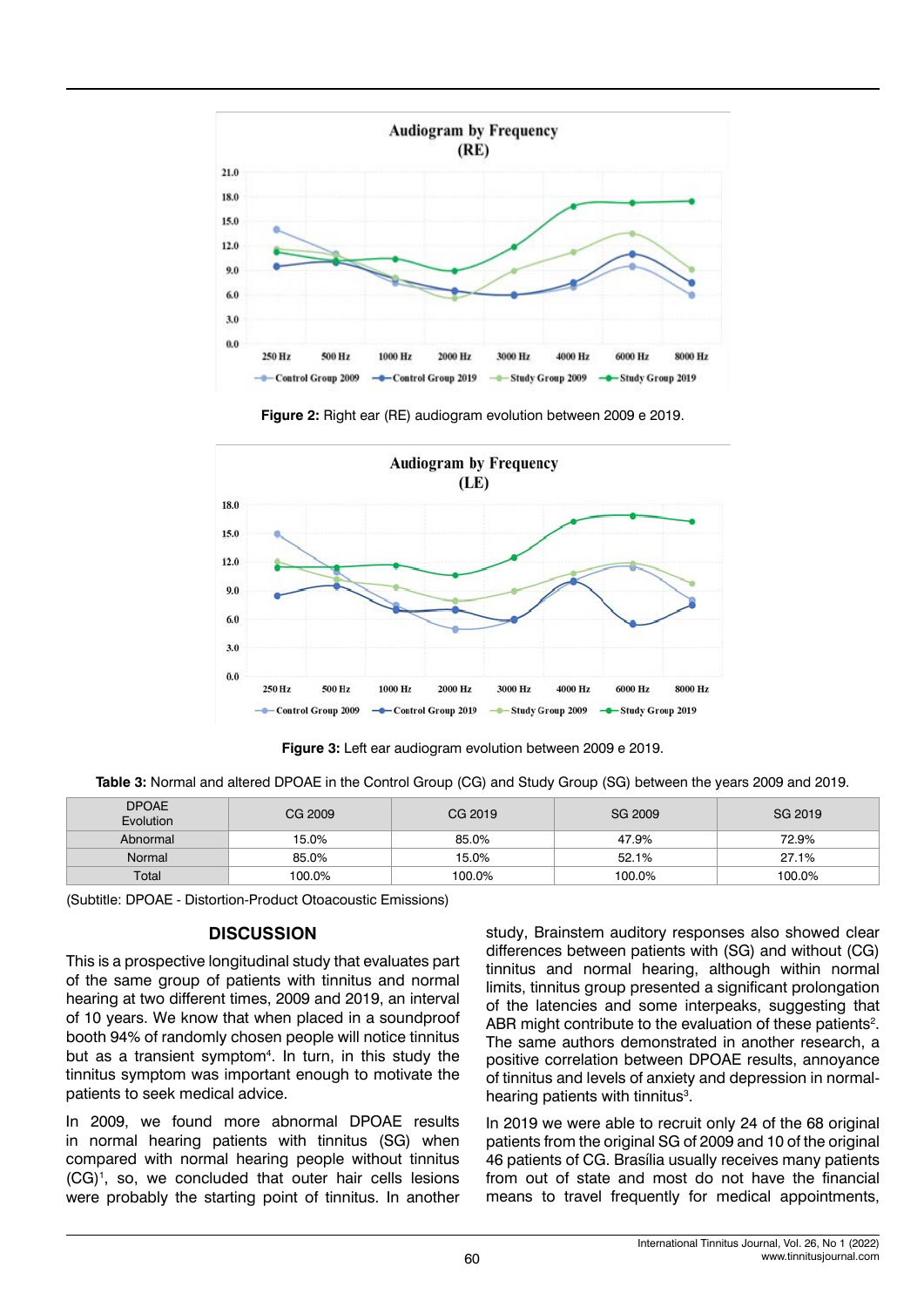

**Figure 2:** Right ear (RE) audiogram evolution between 2009 e 2019.





**Table 3:** Normal and altered DPOAE in the Control Group (CG) and Study Group (SG) between the years 2009 and 2019.

| <b>DPOAE</b><br>Evolution | CG 2009 | CG 2019 | SG 2009 | SG 2019 |
|---------------------------|---------|---------|---------|---------|
| Abnormal                  | 15.0%   | 85.0%   | 47.9%   | 72.9%   |
| Normal                    | 85.0%   | 15.0%   | 52.1%   | 27.1%   |
| Total                     | 100.0%  | 100.0%  | 100.0%  | 100.0%  |

(Subtitle: DPOAE - Distortion-Product Otoacoustic Emissions)

#### **DISCUSSION**

This is a prospective longitudinal study that evaluates part of the same group of patients with tinnitus and normal hearing at two different times, 2009 and 2019, an interval of 10 years. We know that when placed in a soundproof booth 94% of randomly chosen people will notice tinnitus but as a transient symptom<sup>4</sup>. In turn, in this study the tinnitus symptom was important enough to motivate the patients to seek medical advice.

In 2009, we found more abnormal DPOAE results in normal hearing patients with tinnitus (SG) when compared with normal hearing people without tinnitus (CG)1 , so, we concluded that outer hair cells lesions were probably the starting point of tinnitus. In another study, Brainstem auditory responses also showed clear differences between patients with (SG) and without (CG) tinnitus and normal hearing, although within normal limits, tinnitus group presented a significant prolongation of the latencies and some interpeaks, suggesting that ABR might contribute to the evaluation of these patients<sup>2</sup>. The same authors demonstrated in another research, a positive correlation between DPOAE results, annoyance of tinnitus and levels of anxiety and depression in normalhearing patients with tinnitus<sup>3</sup>.

In 2019 we were able to recruit only 24 of the 68 original patients from the original SG of 2009 and 10 of the original 46 patients of CG. Brasília usually receives many patients from out of state and most do not have the financial means to travel frequently for medical appointments,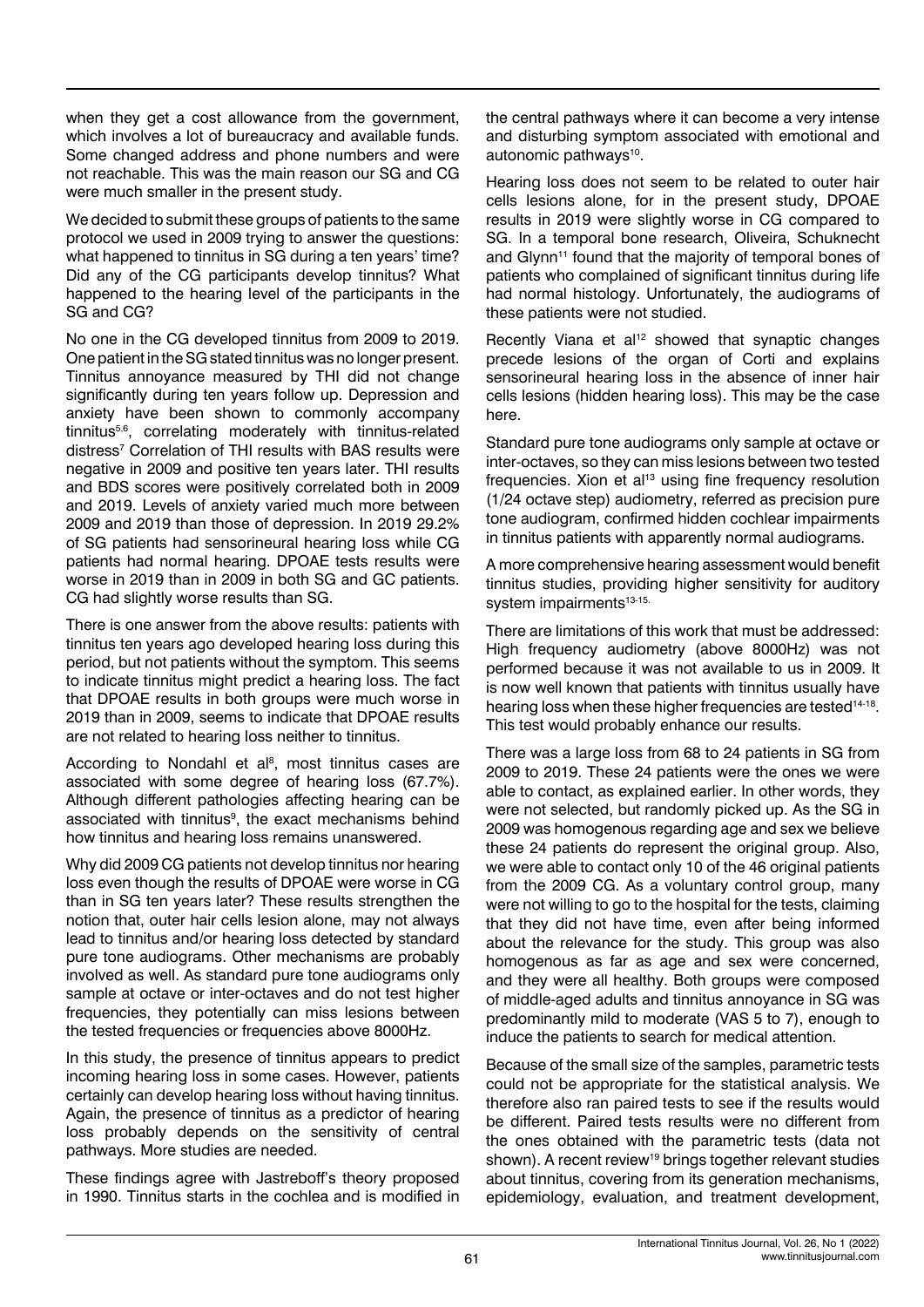when they get a cost allowance from the government, which involves a lot of bureaucracy and available funds. Some changed address and phone numbers and were not reachable. This was the main reason our SG and CG were much smaller in the present study.

We decided to submit these groups of patients to the same protocol we used in 2009 trying to answer the questions: what happened to tinnitus in SG during a ten years' time? Did any of the CG participants develop tinnitus? What happened to the hearing level of the participants in the SG and CG?

No one in the CG developed tinnitus from 2009 to 2019. One patient in the SG stated tinnitus was no longer present. Tinnitus annoyance measured by THI did not change significantly during ten years follow up. Depression and anxiety have been shown to commonly accompany tinnitus5,6, correlating moderately with tinnitus-related distress<sup>7</sup> Correlation of THI results with BAS results were negative in 2009 and positive ten years later. THI results and BDS scores were positively correlated both in 2009 and 2019. Levels of anxiety varied much more between 2009 and 2019 than those of depression. In 2019 29.2% of SG patients had sensorineural hearing loss while CG patients had normal hearing. DPOAE tests results were worse in 2019 than in 2009 in both SG and GC patients. CG had slightly worse results than SG.

There is one answer from the above results: patients with tinnitus ten years ago developed hearing loss during this period, but not patients without the symptom. This seems to indicate tinnitus might predict a hearing loss. The fact that DPOAE results in both groups were much worse in 2019 than in 2009, seems to indicate that DPOAE results are not related to hearing loss neither to tinnitus.

According to Nondahl et al<sup>8</sup>, most tinnitus cases are associated with some degree of hearing loss (67.7%). Although different pathologies affecting hearing can be associated with tinnitus<sup>9</sup>, the exact mechanisms behind how tinnitus and hearing loss remains unanswered.

Why did 2009 CG patients not develop tinnitus nor hearing loss even though the results of DPOAE were worse in CG than in SG ten years later? These results strengthen the notion that, outer hair cells lesion alone, may not always lead to tinnitus and/or hearing loss detected by standard pure tone audiograms. Other mechanisms are probably involved as well. As standard pure tone audiograms only sample at octave or inter-octaves and do not test higher frequencies, they potentially can miss lesions between the tested frequencies or frequencies above 8000Hz.

In this study, the presence of tinnitus appears to predict incoming hearing loss in some cases. However, patients certainly can develop hearing loss without having tinnitus. Again, the presence of tinnitus as a predictor of hearing loss probably depends on the sensitivity of central pathways. More studies are needed.

These findings agree with Jastreboff's theory proposed in 1990. Tinnitus starts in the cochlea and is modified in the central pathways where it can become a very intense and disturbing symptom associated with emotional and autonomic pathways<sup>10</sup>.

Hearing loss does not seem to be related to outer hair cells lesions alone, for in the present study, DPOAE results in 2019 were slightly worse in CG compared to SG. In a temporal bone research, Oliveira, Schuknecht and Glynn<sup>11</sup> found that the majority of temporal bones of patients who complained of significant tinnitus during life had normal histology. Unfortunately, the audiograms of these patients were not studied.

Recently Viana et al<sup>12</sup> showed that synaptic changes precede lesions of the organ of Corti and explains sensorineural hearing loss in the absence of inner hair cells lesions (hidden hearing loss). This may be the case here.

Standard pure tone audiograms only sample at octave or inter-octaves, so they can miss lesions between two tested frequencies. Xion et al<sup>13</sup> using fine frequency resolution (1/24 octave step) audiometry, referred as precision pure tone audiogram, confirmed hidden cochlear impairments in tinnitus patients with apparently normal audiograms.

A more comprehensive hearing assessment would benefit tinnitus studies, providing higher sensitivity for auditory system impairments<sup>13-15.</sup>

There are limitations of this work that must be addressed: High frequency audiometry (above 8000Hz) was not performed because it was not available to us in 2009. It is now well known that patients with tinnitus usually have hearing loss when these higher frequencies are tested<sup>14-18</sup>. This test would probably enhance our results.

There was a large loss from 68 to 24 patients in SG from 2009 to 2019. These 24 patients were the ones we were able to contact, as explained earlier. In other words, they were not selected, but randomly picked up. As the SG in 2009 was homogenous regarding age and sex we believe these 24 patients do represent the original group. Also, we were able to contact only 10 of the 46 original patients from the 2009 CG. As a voluntary control group, many were not willing to go to the hospital for the tests, claiming that they did not have time, even after being informed about the relevance for the study. This group was also homogenous as far as age and sex were concerned, and they were all healthy. Both groups were composed of middle-aged adults and tinnitus annoyance in SG was predominantly mild to moderate (VAS 5 to 7), enough to induce the patients to search for medical attention.

Because of the small size of the samples, parametric tests could not be appropriate for the statistical analysis. We therefore also ran paired tests to see if the results would be different. Paired tests results were no different from the ones obtained with the parametric tests (data not shown). A recent review<sup>19</sup> brings together relevant studies about tinnitus, covering from its generation mechanisms, epidemiology, evaluation, and treatment development,